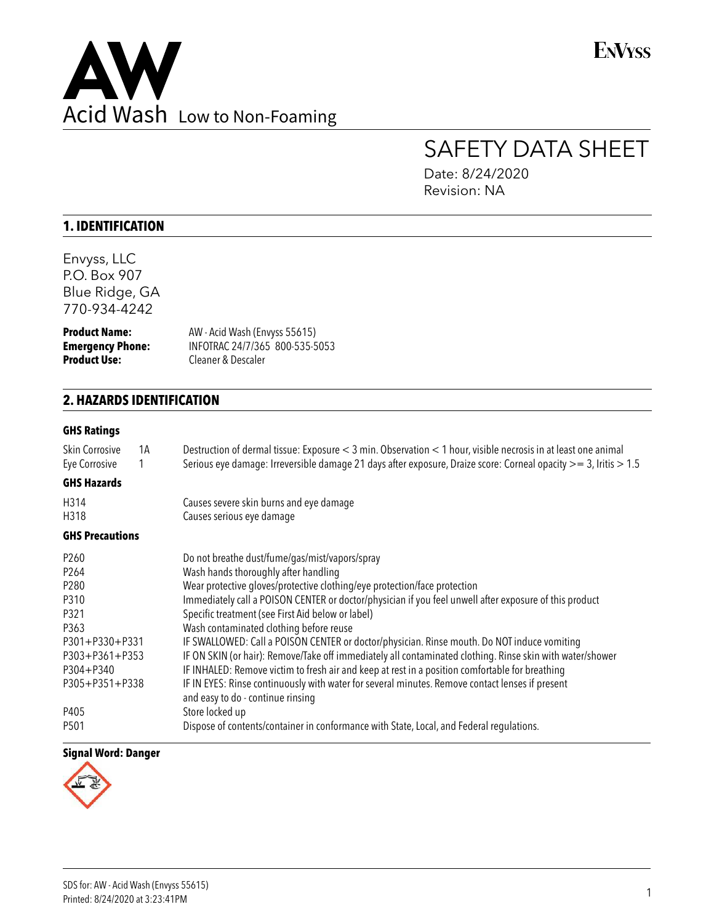

**ENVYSS** 

# SAFETY DATA SHEET

Date: 8/24/2020 Revision: NA

# **1. IDENTIFICATION**

Envyss, LLC P.O. Box 907 Blue Ridge, GA 770-934-4242

**Product Name:** AW - Acid Wash (Envyss 55615)<br> **Emergency Phone:** INFOTRAC 24/7/365 800-535-5 **Emergency Phone:** INFOTRAC 24/7/365 800-535-5053 **Product Use:** Cleaner & Descaler

# **2. HAZARDS IDENTIFICATION**

### **GHS Ratings**

| <b>Skin Corrosive</b><br>Eye Corrosive | 1A<br>1 | Destruction of dermal tissue: Exposure < 3 min. Observation < 1 hour, visible necrosis in at least one animal<br>Serious eye damage: Irreversible damage 21 days after exposure, Draize score: Corneal opacity $>= 3$ , Iritis $> 1.5$ |
|----------------------------------------|---------|----------------------------------------------------------------------------------------------------------------------------------------------------------------------------------------------------------------------------------------|
| <b>GHS Hazards</b>                     |         |                                                                                                                                                                                                                                        |
| H314                                   |         | Causes severe skin burns and eye damage                                                                                                                                                                                                |
| H318                                   |         | Causes serious eye damage                                                                                                                                                                                                              |
| <b>GHS Precautions</b>                 |         |                                                                                                                                                                                                                                        |
| P <sub>260</sub>                       |         | Do not breathe dust/fume/gas/mist/vapors/spray                                                                                                                                                                                         |
| P264                                   |         | Wash hands thoroughly after handling                                                                                                                                                                                                   |
| P280                                   |         | Wear protective gloves/protective clothing/eye protection/face protection                                                                                                                                                              |
| P310                                   |         | Immediately call a POISON CENTER or doctor/physician if you feel unwell after exposure of this product                                                                                                                                 |
| P321                                   |         | Specific treatment (see First Aid below or label)                                                                                                                                                                                      |
| P363                                   |         | Wash contaminated clothing before reuse                                                                                                                                                                                                |
| P301+P330+P331                         |         | IF SWALLOWED: Call a POISON CENTER or doctor/physician. Rinse mouth. Do NOT induce vomiting                                                                                                                                            |
| P303+P361+P353                         |         | IF ON SKIN (or hair): Remove/Take off immediately all contaminated clothing. Rinse skin with water/shower                                                                                                                              |
| $P304 + P340$                          |         | IF INHALED: Remove victim to fresh air and keep at rest in a position comfortable for breathing                                                                                                                                        |
| P305+P351+P338                         |         | IF IN EYES: Rinse continuously with water for several minutes. Remove contact lenses if present<br>and easy to do - continue rinsing                                                                                                   |
| P405                                   |         | Store locked up                                                                                                                                                                                                                        |
| P501                                   |         | Dispose of contents/container in conformance with State, Local, and Federal regulations.                                                                                                                                               |
|                                        |         |                                                                                                                                                                                                                                        |

### **Signal Word: Danger**

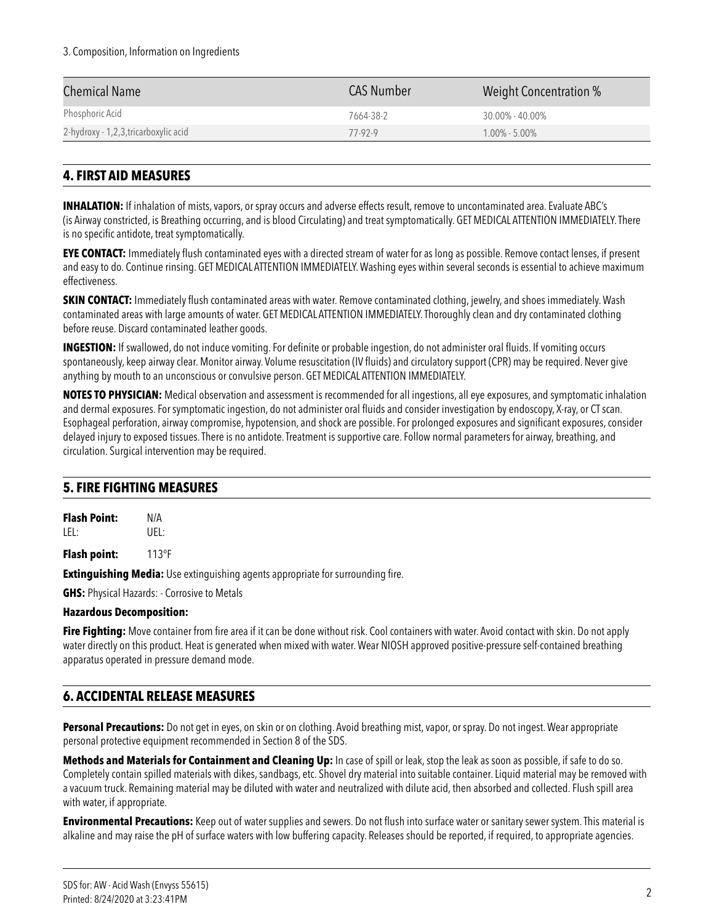### 3. Composition, Information on Ingredients

| Chemical Name                        | <b>CAS Number</b> | Weight Concentration % |
|--------------------------------------|-------------------|------------------------|
| Phosphoric Acid                      | 7664-38-2         | $30.00\%$ - 40.00%     |
| 2-hydroxy - 1,2,3,tricarboxylic acid | $77-92-9$         | $1.00\% - 5.00\%$      |

# **4. FIRST AID MEASURES**

**INHALATION:** If inhalation of mists, vapors, or spray occurs and adverse effects result, remove to uncontaminated area. Evaluate ABC's (is Airway constricted, is Breathing occurring, and is blood Circulating) and treat symptomatically. GET MEDICAL ATTENTION IMMEDIATELY. There is no specific antidote, treat symptomatically.

**EYE CONTACT:** Immediately flush contaminated eyes with a directed stream of water for as long as possible. Remove contact lenses, if present and easy to do. Continue rinsing. GET MEDICAL ATTENTION IMMEDIATELY. Washing eyes within several seconds is essential to achieve maximum effectiveness.

**SKIN CONTACT:** Immediately flush contaminated areas with water. Remove contaminated clothing, jewelry, and shoes immediately. Wash contaminated areas with large amounts of water. GET MEDICAL ATTENTION IMMEDIATELY. Thoroughly clean and dry contaminated clothing before reuse. Discard contaminated leather goods.

**INGESTION:** If swallowed, do not induce vomiting. For definite or probable ingestion, do not administer oral fluids. If vomiting occurs spontaneously, keep airway clear. Monitor airway. Volume resuscitation (IV fluids) and circulatory support (CPR) may be required. Never give anything by mouth to an unconscious or convulsive person. GET MEDICAL ATTENTION IMMEDIATELY.

**NOTES TO PHYSICIAN:** Medical observation and assessment is recommended for all ingestions, all eye exposures, and symptomatic inhalation and dermal exposures. For symptomatic ingestion, do not administer oral fluids and consider investigation by endoscopy, X-ray, or CT scan. Esophageal perforation, airway compromise, hypotension, and shock are possible. For prolonged exposures and significant exposures, consider delayed injury to exposed tissues. There is no antidote. Treatment is supportive care. Follow normal parameters for airway, breathing, and circulation. Surgical intervention may be required.

### **5. FIRE FIGHTING MEASURES**

**Flash Point:** N/A LEL: UEL:

**Flash point:** 113°F

**Extinguishing Media:** Use extinguishing agents appropriate for surrounding fire.

**GHS:** Physical Hazards: - Corrosive to Metals

### **Hazardous Decomposition:**

**Fire Fighting:** Move container from fire area if it can be done without risk. Cool containers with water. Avoid contact with skin. Do not apply water directly on this product. Heat is generated when mixed with water. Wear NIOSH approved positive-pressure self-contained breathing apparatus operated in pressure demand mode.

### **6. ACCIDENTAL RELEASE MEASURES**

**Personal Precautions:** Do not get in eyes, on skin or on clothing. Avoid breathing mist, vapor, or spray. Do not ingest. Wear appropriate personal protective equipment recommended in Section 8 of the SDS.

**Methods and Materials for Containment and Cleaning Up:** In case of spill or leak, stop the leak as soon as possible, if safe to do so. Completely contain spilled materials with dikes, sandbags, etc. Shovel dry material into suitable container. Liquid material may be removed with a vacuum truck. Remaining material may be diluted with water and neutralized with dilute acid, then absorbed and collected. Flush spill area with water, if appropriate.

**Environmental Precautions:** Keep out of water supplies and sewers. Do not flush into surface water or sanitary sewer system. This material is alkaline and may raise the pH of surface waters with low buffering capacity. Releases should be reported, if required, to appropriate agencies.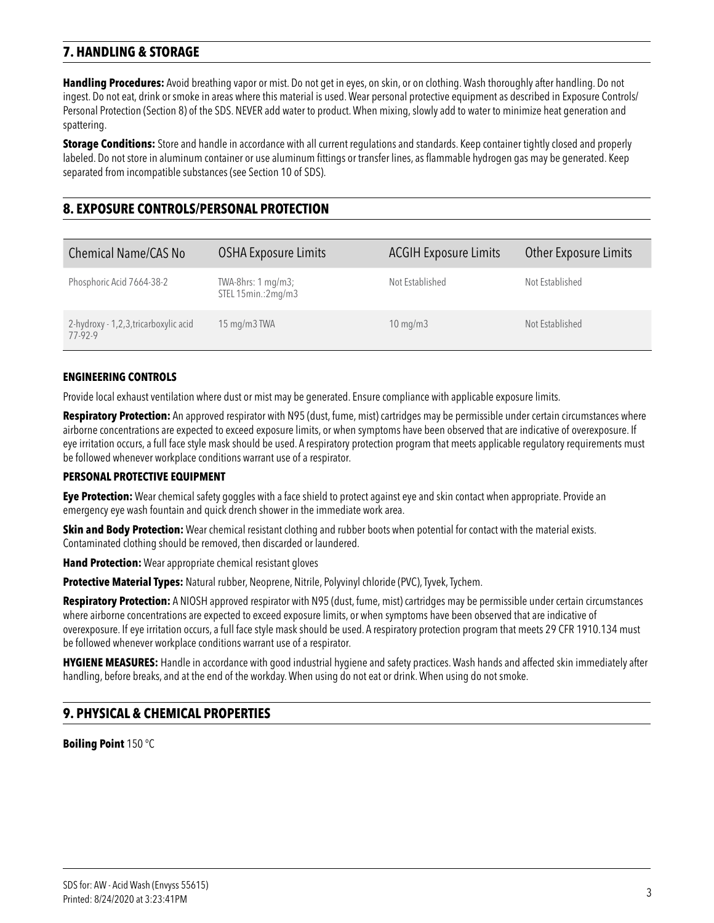# **7. HANDLING & STORAGE**

**Handling Procedures:** Avoid breathing vapor or mist. Do not get in eyes, on skin, or on clothing. Wash thoroughly after handling. Do not ingest. Do not eat, drink or smoke in areas where this material is used. Wear personal protective equipment as described in Exposure Controls/ Personal Protection (Section 8) of the SDS. NEVER add water to product. When mixing, slowly add to water to minimize heat generation and spattering.

**Storage Conditions:** Store and handle in accordance with all current regulations and standards. Keep container tightly closed and properly labeled. Do not store in aluminum container or use aluminum fittings or transfer lines, as flammable hydrogen gas may be generated. Keep separated from incompatible substances (see Section 10 of SDS).

# **8. EXPOSURE CONTROLS/PERSONAL PROTECTION**

| <b>Chemical Name/CAS No</b>                      | OSHA Exposure Limits                     | <b>ACGIH Exposure Limits</b> | <b>Other Exposure Limits</b> |
|--------------------------------------------------|------------------------------------------|------------------------------|------------------------------|
| Phosphoric Acid 7664-38-2                        | TWA-8hrs: 1 mg/m3;<br>STEL 15min.:2mg/m3 | Not Established              | Not Established              |
| 2-hydroxy - 1,2,3, tricarboxylic acid<br>77-92-9 | $15 \,\mathrm{mg/m}$ TWA                 | $10 \text{ mg/m}$            | Not Established              |

#### **ENGINEERING CONTROLS**

Provide local exhaust ventilation where dust or mist may be generated. Ensure compliance with applicable exposure limits.

**Respiratory Protection:** An approved respirator with N95 (dust, fume, mist) cartridges may be permissible under certain circumstances where airborne concentrations are expected to exceed exposure limits, or when symptoms have been observed that are indicative of overexposure. If eye irritation occurs, a full face style mask should be used. A respiratory protection program that meets applicable regulatory requirements must be followed whenever workplace conditions warrant use of a respirator.

### **PERSONAL PROTECTIVE EQUIPMENT**

**Eye Protection:** Wear chemical safety goggles with a face shield to protect against eye and skin contact when appropriate. Provide an emergency eye wash fountain and quick drench shower in the immediate work area.

**Skin and Body Protection:** Wear chemical resistant clothing and rubber boots when potential for contact with the material exists. Contaminated clothing should be removed, then discarded or laundered.

**Hand Protection:** Wear appropriate chemical resistant gloves

**Protective Material Types:** Natural rubber, Neoprene, Nitrile, Polyvinyl chloride (PVC), Tyvek, Tychem.

**Respiratory Protection:** A NIOSH approved respirator with N95 (dust, fume, mist) cartridges may be permissible under certain circumstances where airborne concentrations are expected to exceed exposure limits, or when symptoms have been observed that are indicative of overexposure. If eye irritation occurs, a full face style mask should be used. A respiratory protection program that meets 29 CFR 1910.134 must be followed whenever workplace conditions warrant use of a respirator.

**HYGIENE MEASURES:** Handle in accordance with good industrial hygiene and safety practices. Wash hands and affected skin immediately after handling, before breaks, and at the end of the workday. When using do not eat or drink. When using do not smoke.

### **9. PHYSICAL & CHEMICAL PROPERTIES**

**Boiling Point** 150 °C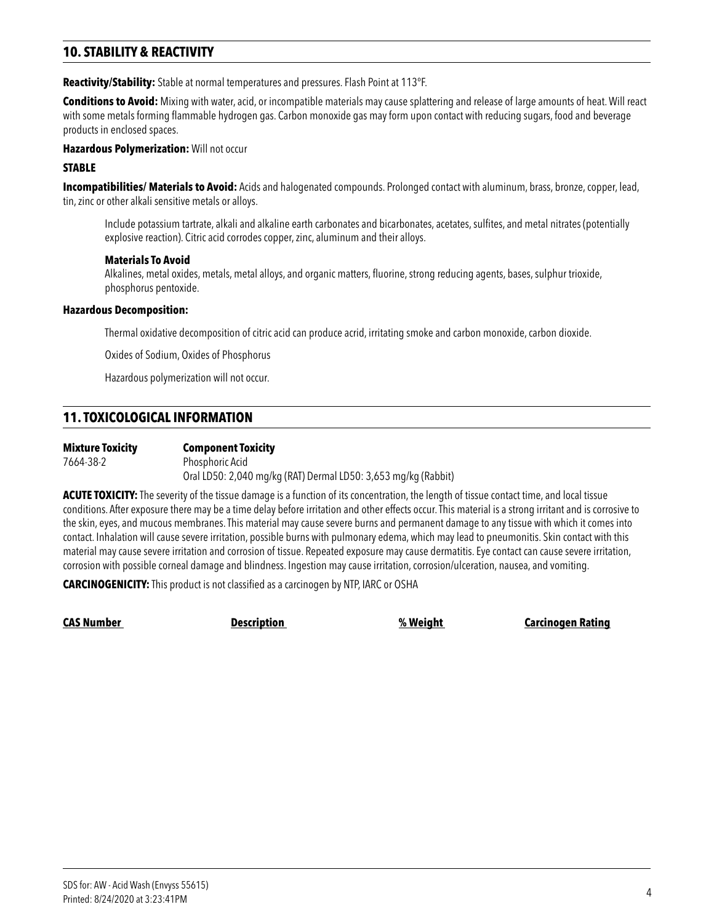# **10. STABILITY & REACTIVITY**

**Reactivity/Stability:** Stable at normal temperatures and pressures. Flash Point at 113°F.

**Conditions to Avoid:** Mixing with water, acid, or incompatible materials may cause splattering and release of large amounts of heat. Will react with some metals forming flammable hydrogen gas. Carbon monoxide gas may form upon contact with reducing sugars, food and beverage products in enclosed spaces.

**Hazardous Polymerization:** Will not occur

#### **STABLE**

**Incompatibilities/ Materials to Avoid:** Acids and halogenated compounds. Prolonged contact with aluminum, brass, bronze, copper, lead, tin, zinc or other alkali sensitive metals or alloys.

 Include potassium tartrate, alkali and alkaline earth carbonates and bicarbonates, acetates, sulfites, and metal nitrates (potentially explosive reaction). Citric acid corrodes copper, zinc, aluminum and their alloys.

#### **Materials To Avoid**

 Alkalines, metal oxides, metals, metal alloys, and organic matters, fluorine, strong reducing agents, bases, sulphur trioxide, phosphorus pentoxide.

#### **Hazardous Decomposition:**

Thermal oxidative decomposition of citric acid can produce acrid, irritating smoke and carbon monoxide, carbon dioxide.

Oxides of Sodium, Oxides of Phosphorus

Hazardous polymerization will not occur.

### **11. TOXICOLOGICAL INFORMATION**

| <b>Mixture Toxicity</b> | <b>Component Toxicity</b>                                      |
|-------------------------|----------------------------------------------------------------|
| 7664-38-2               | Phosphoric Acid                                                |
|                         | Oral LD50: 2,040 mg/kg (RAT) Dermal LD50: 3,653 mg/kg (Rabbit) |

**ACUTE TOXICITY:** The severity of the tissue damage is a function of its concentration, the length of tissue contact time, and local tissue conditions. After exposure there may be a time delay before irritation and other effects occur. This material is a strong irritant and is corrosive to the skin, eyes, and mucous membranes. This material may cause severe burns and permanent damage to any tissue with which it comes into contact. Inhalation will cause severe irritation, possible burns with pulmonary edema, which may lead to pneumonitis. Skin contact with this material may cause severe irritation and corrosion of tissue. Repeated exposure may cause dermatitis. Eye contact can cause severe irritation, corrosion with possible corneal damage and blindness. Ingestion may cause irritation, corrosion/ulceration, nausea, and vomiting.

**CARCINOGENICITY:** This product is not classified as a carcinogen by NTP, IARC or OSHA

**CAS Number Description % Weight Carcinogen Rating**